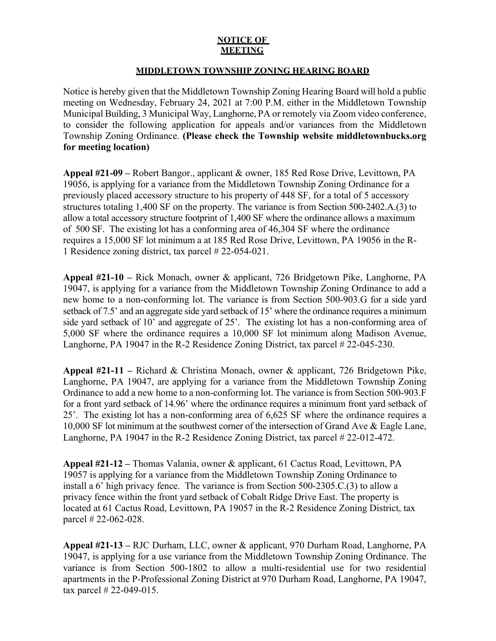## **NOTICE OF MEETING**

## **MIDDLETOWN TOWNSHIP ZONING HEARING BOARD**

Notice is hereby given that the Middletown Township Zoning Hearing Board will hold a public meeting on Wednesday, February 24, 2021 at 7:00 P.M. either in the Middletown Township Municipal Building, 3 Municipal Way, Langhorne, PA or remotely via Zoom video conference, to consider the following application for appeals and/or variances from the Middletown Township Zoning Ordinance. **(Please check the Township website middletownbucks.org for meeting location)** 

**Appeal #21-09 –** Robert Bangor., applicant & owner, 185 Red Rose Drive, Levittown, PA 19056, is applying for a variance from the Middletown Township Zoning Ordinance for a previously placed accessory structure to his property of 448 SF, for a total of 5 accessory structures totaling 1,400 SF on the property. The variance is from Section 500-2402.A.(3) to allow a total accessory structure footprint of 1,400 SF where the ordinance allows a maximum of 500 SF. The existing lot has a conforming area of 46,304 SF where the ordinance requires a 15,000 SF lot minimum a at 185 Red Rose Drive, Levittown, PA 19056 in the R-1 Residence zoning district, tax parcel # 22-054-021.

**Appeal #21-10 –** Rick Monach, owner & applicant, 726 Bridgetown Pike, Langhorne, PA 19047, is applying for a variance from the Middletown Township Zoning Ordinance to add a new home to a non-conforming lot. The variance is from Section 500-903.G for a side yard setback of 7.5' and an aggregate side yard setback of 15' where the ordinance requires a minimum side yard setback of 10' and aggregate of 25'. The existing lot has a non-conforming area of 5,000 SF where the ordinance requires a 10,000 SF lot minimum along Madison Avenue, Langhorne, PA 19047 in the R-2 Residence Zoning District, tax parcel # 22-045-230.

**Appeal #21-11 –** Richard & Christina Monach, owner & applicant, 726 Bridgetown Pike, Langhorne, PA 19047, are applying for a variance from the Middletown Township Zoning Ordinance to add a new home to a non-conforming lot. The variance is from Section 500-903.F for a front yard setback of 14.96' where the ordinance requires a minimum front yard setback of 25'. The existing lot has a non-conforming area of 6,625 SF where the ordinance requires a 10,000 SF lot minimum at the southwest corner of the intersection of Grand Ave & Eagle Lane, Langhorne, PA 19047 in the R-2 Residence Zoning District, tax parcel # 22-012-472.

**Appeal #21-12 –** Thomas Valania, owner & applicant, 61 Cactus Road, Levittown, PA 19057 is applying for a variance from the Middletown Township Zoning Ordinance to install a 6' high privacy fence. The variance is from Section 500-2305.C.(3) to allow a privacy fence within the front yard setback of Cobalt Ridge Drive East. The property is located at 61 Cactus Road, Levittown, PA 19057 in the R-2 Residence Zoning District, tax parcel # 22-062-028.

**Appeal #21-13 –** RJC Durham, LLC, owner & applicant, 970 Durham Road, Langhorne, PA 19047, is applying for a use variance from the Middletown Township Zoning Ordinance. The variance is from Section 500-1802 to allow a multi-residential use for two residential apartments in the P-Professional Zoning District at 970 Durham Road, Langhorne, PA 19047, tax parcel # 22-049-015.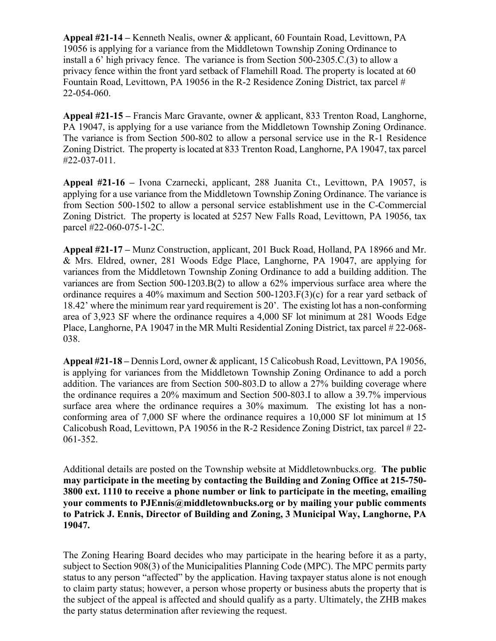**Appeal #21-14 –** Kenneth Nealis, owner & applicant, 60 Fountain Road, Levittown, PA 19056 is applying for a variance from the Middletown Township Zoning Ordinance to install a 6' high privacy fence. The variance is from Section 500-2305.C.(3) to allow a privacy fence within the front yard setback of Flamehill Road. The property is located at 60 Fountain Road, Levittown, PA 19056 in the R-2 Residence Zoning District, tax parcel # 22-054-060.

**Appeal #21-15 –** Francis Marc Gravante, owner & applicant, 833 Trenton Road, Langhorne, PA 19047, is applying for a use variance from the Middletown Township Zoning Ordinance. The variance is from Section 500-802 to allow a personal service use in the R-1 Residence Zoning District. The property is located at 833 Trenton Road, Langhorne, PA 19047, tax parcel #22-037-011.

**Appeal #21-16 –** Ivona Czarnecki, applicant, 288 Juanita Ct., Levittown, PA 19057, is applying for a use variance from the Middletown Township Zoning Ordinance. The variance is from Section 500-1502 to allow a personal service establishment use in the C-Commercial Zoning District. The property is located at 5257 New Falls Road, Levittown, PA 19056, tax parcel #22-060-075-1-2C.

**Appeal #21-17 –** Munz Construction, applicant, 201 Buck Road, Holland, PA 18966 and Mr. & Mrs. Eldred, owner, 281 Woods Edge Place, Langhorne, PA 19047, are applying for variances from the Middletown Township Zoning Ordinance to add a building addition. The variances are from Section 500-1203.B(2) to allow a 62% impervious surface area where the ordinance requires a 40% maximum and Section 500-1203.F(3)(c) for a rear yard setback of 18.42' where the minimum rear yard requirement is 20'. The existing lot has a non-conforming area of 3,923 SF where the ordinance requires a 4,000 SF lot minimum at 281 Woods Edge Place, Langhorne, PA 19047 in the MR Multi Residential Zoning District, tax parcel # 22-068- 038.

**Appeal #21-18 –** Dennis Lord, owner & applicant, 15 Calicobush Road, Levittown, PA 19056, is applying for variances from the Middletown Township Zoning Ordinance to add a porch addition. The variances are from Section 500-803.D to allow a 27% building coverage where the ordinance requires a 20% maximum and Section 500-803.I to allow a 39.7% impervious surface area where the ordinance requires a 30% maximum. The existing lot has a nonconforming area of 7,000 SF where the ordinance requires a 10,000 SF lot minimum at 15 Calicobush Road, Levittown, PA 19056 in the R-2 Residence Zoning District, tax parcel # 22- 061-352.

Additional details are posted on the Township website at Middletownbucks.org. **The public may participate in the meeting by contacting the Building and Zoning Office at 215-750- 3800 ext. 1110 to receive a phone number or link to participate in the meeting, emailing your comments to PJEnnis@middletownbucks.org or by mailing your public comments to Patrick J. Ennis, Director of Building and Zoning, 3 Municipal Way, Langhorne, PA 19047.** 

The Zoning Hearing Board decides who may participate in the hearing before it as a party, subject to Section 908(3) of the Municipalities Planning Code (MPC). The MPC permits party status to any person "affected" by the application. Having taxpayer status alone is not enough to claim party status; however, a person whose property or business abuts the property that is the subject of the appeal is affected and should qualify as a party. Ultimately, the ZHB makes the party status determination after reviewing the request.